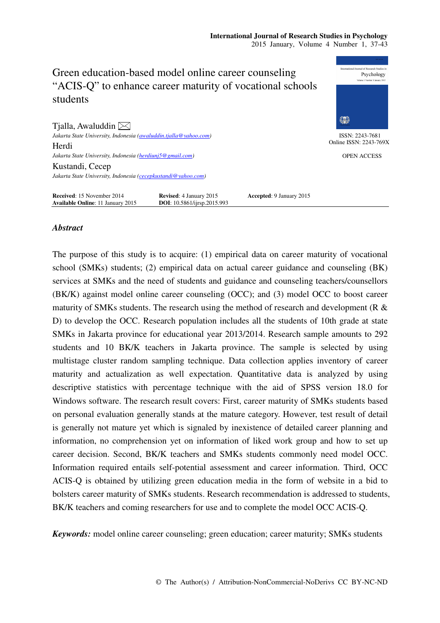### **International Journal of Research Studies in Psychology**  2015 January, Volume 4 Number 1, 37-43



### *Abstract*

The purpose of this study is to acquire: (1) empirical data on career maturity of vocational school (SMKs) students; (2) empirical data on actual career guidance and counseling (BK) services at SMKs and the need of students and guidance and counseling teachers/counsellors (BK/K) against model online career counseling (OCC); and (3) model OCC to boost career maturity of SMKs students. The research using the method of research and development (R & D) to develop the OCC. Research population includes all the students of 10th grade at state SMKs in Jakarta province for educational year 2013/2014. Research sample amounts to 292 students and 10 BK/K teachers in Jakarta province. The sample is selected by using multistage cluster random sampling technique. Data collection applies inventory of career maturity and actualization as well expectation. Quantitative data is analyzed by using descriptive statistics with percentage technique with the aid of SPSS version 18.0 for Windows software. The research result covers: First, career maturity of SMKs students based on personal evaluation generally stands at the mature category. However, test result of detail is generally not mature yet which is signaled by inexistence of detailed career planning and information, no comprehension yet on information of liked work group and how to set up career decision. Second, BK/K teachers and SMKs students commonly need model OCC. Information required entails self-potential assessment and career information. Third, OCC ACIS-Q is obtained by utilizing green education media in the form of website in a bid to bolsters career maturity of SMKs students. Research recommendation is addressed to students, BK/K teachers and coming researchers for use and to complete the model OCC ACIS-Q.

*Keywords:* model online career counseling; green education; career maturity; SMKs students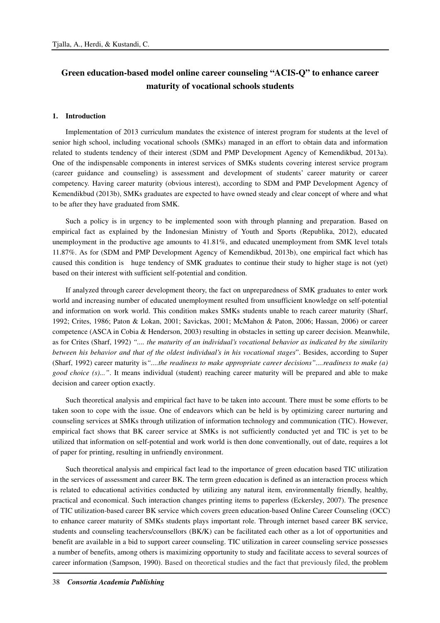## **Green education-based model online career counseling "ACIS-Q" to enhance career maturity of vocational schools students**

### **1. Introduction**

Implementation of 2013 curriculum mandates the existence of interest program for students at the level of senior high school, including vocational schools (SMKs) managed in an effort to obtain data and information related to students tendency of their interest (SDM and PMP Development Agency of Kemendikbud, 2013a). One of the indispensable components in interest services of SMKs students covering interest service program (career guidance and counseling) is assessment and development of students' career maturity or career competency. Having career maturity (obvious interest), according to SDM and PMP Development Agency of Kemendikbud (2013b), SMKs graduates are expected to have owned steady and clear concept of where and what to be after they have graduated from SMK.

Such a policy is in urgency to be implemented soon with through planning and preparation. Based on empirical fact as explained by the Indonesian Ministry of Youth and Sports (Republika, 2012), educated unemployment in the productive age amounts to 41.81%, and educated unemployment from SMK level totals 11.87%. As for (SDM and PMP Development Agency of Kemendikbud, 2013b), one empirical fact which has caused this condition is huge tendency of SMK graduates to continue their study to higher stage is not (yet) based on their interest with sufficient self-potential and condition.

If analyzed through career development theory, the fact on unpreparedness of SMK graduates to enter work world and increasing number of educated unemployment resulted from unsufficient knowledge on self-potential and information on work world. This condition makes SMKs students unable to reach career maturity (Sharf, 1992; Crites, 1986; Paton & Lokan, 2001; Savickas, 2001; McMahon & Paton, 2006; Hassan, 2006) or career competence (ASCA in Cobia & Henderson, 2003) resulting in obstacles in setting up career decision. Meanwhile, as for Crites (Sharf, 1992) *".... the maturity of an individual's vocational behavior as indicated by the similarity between his behavior and that of the oldest individual's in his vocational stages*". Besides, according to Super (Sharf, 1992) career maturity is*"....the readiness to make appropriate career decisions"....readiness to make (a) good choice (s)..."*. It means individual (student) reaching career maturity will be prepared and able to make decision and career option exactly.

Such theoretical analysis and empirical fact have to be taken into account. There must be some efforts to be taken soon to cope with the issue. One of endeavors which can be held is by optimizing career nurturing and counseling services at SMKs through utilization of information technology and communication (TIC). However, empirical fact shows that BK career service at SMKs is not sufficiently conducted yet and TIC is yet to be utilized that information on self-potential and work world is then done conventionally, out of date, requires a lot of paper for printing, resulting in unfriendly environment.

Such theoretical analysis and empirical fact lead to the importance of green education based TIC utilization in the services of assessment and career BK. The term green education is defined as an interaction process which is related to educational activities conducted by utilizing any natural item, environmentally friendly, healthy, practical and economical. Such interaction changes printing items to paperless (Eckersley, 2007). The presence of TIC utilization-based career BK service which covers green education-based Online Career Counseling (OCC) to enhance career maturity of SMKs students plays important role. Through internet based career BK service, students and counseling teachers/counsellors (BK/K) can be facilitated each other as a lot of opportunities and benefit are available in a bid to support career counseling. TIC utilization in career counseling service possesses a number of benefits, among others is maximizing opportunity to study and facilitate access to several sources of career information (Sampson, 1990). Based on theoretical studies and the fact that previously filed, the problem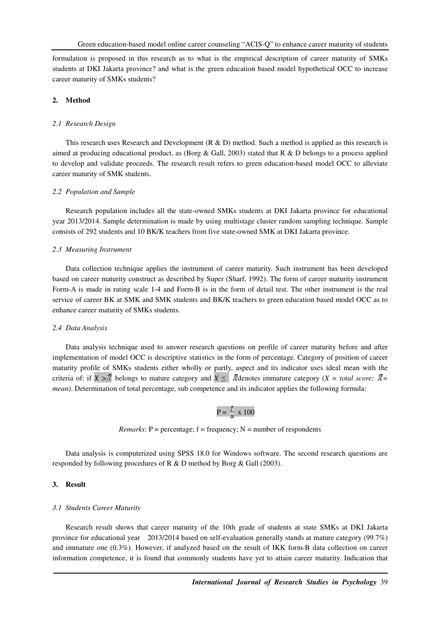formulation is proposed in this research as to what is the empirical description of career maturity of SMKs students at DKI Jakarta province? and what is the green education based model hypothetical OCC to increase career maturity of SMKs students?

### **2. Method**

### *2.1 Research Design*

This research uses Research and Development ( $R \& D$ ) method. Such a method is applied as this research is aimed at producing educational product, as (Borg  $\&$  Gall, 2003) stated that R  $\&$  D belongs to a process applied to develop and validate proceeds. The research result refers to green education-based model OCC to alleviate career maturity of SMK students.

### *2.2 Population and Sample*

Research population includes all the state-owned SMKs students at DKI Jakarta province for educational year 2013/2014. Sample determination is made by using multistage cluster random sampling technique. Sample consists of 292 students and 10 BK/K teachers from five state-owned SMK at DKI Jakarta province.

### *2.3 Measuring Instrument*

Data collection technique applies the instrument of career maturity. Such instrument has been developed based on career maturity construct as described by Super (Sharf, 1992). The form of career maturity instrument Form-A is made in rating scale 1-4 and Form-B is in the form of detail test. The other instrument is the real service of career BK at SMK and SMK students and BK/K teachers to green education based model OCC as to enhance career maturity of SMKs students*.*

### *2.4 Data Analysis*

Data analysis technique used to answer research questions on profile of career maturity before and after implementation of model OCC is descriptive statistics in the form of percentage. Category of position of career maturity profile of SMKs students either wholly or partly, aspect and its indicator uses ideal mean with the criteria of: if  $X > \overline{X}$  belongs to mature category and  $X \leq \overline{X}$  denotes immature category ( $X = total score$ ;  $\overline{X} =$ *mean*). Determination of total percentage, sub competence and its indicator applies the following formula:

# $P = \frac{f}{N} \times 100$

*Remarks*:  $P =$  percentage;  $f =$  frequency;  $N =$  number of respondents

Data analysis is computerized using SPSS 18.0 for Windows software. The second research questions are responded by following procedures of R & D method by Borg & Gall (2003).

### **3. Result**

### *3.1 Students Career Maturity*

Research result shows that career maturity of the 10th grade of students at state SMKs at DKI Jakarta province for educational year 2013/2014 based on self-evaluation generally stands at mature category (99.7%) and immature one (0.3%). However, if analyzed based on the result of IKK form-B data collection on career information competence, it is found that commonly students have yet to attain career maturity. Indication that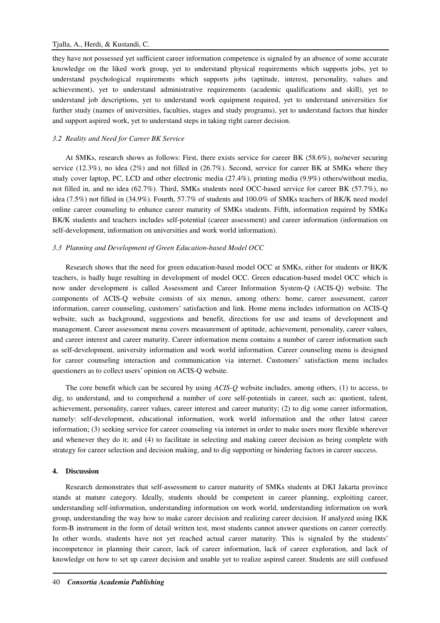they have not possessed yet sufficient career information competence is signaled by an absence of some accurate knowledge on the liked work group, yet to understand physical requirements which supports jobs, yet to understand psychological requirements which supports jobs (aptitude, interest, personality, values and achievement), yet to understand administrative requirements (academic qualifications and skill), yet to understand job descriptions, yet to understand work equipment required, yet to understand universities for further study (names of universities, faculties, stages and study programs), yet to understand factors that hinder and support aspired work, yet to understand steps in taking right career decision.

### *3.2 Reality and Need for Career BK Service*

At SMKs, research shows as follows: First, there exists service for career BK (58.6%), no/never securing service (12.3%), no idea (2%) and not filled in (26.7%). Second, service for career BK at SMKs where they study cover laptop, PC, LCD and other electronic media (27.4%), printing media (9.9%) others/without media, not filled in, and no idea (62.7%). Third, SMKs students need OCC-based service for career BK (57.7%), no idea (7.5%) not filled in (34.9%). Fourth, 57.7% of students and 100.0% of SMKs teachers of BK/K need model online career counseling to enhance career maturity of SMKs students. Fifth, information required by SMKs BK/K students and teachers includes self-potential (career assessment) and career information (information on self-development, information on universities and work world information).

### *3.3 Planning and Development of Green Education-based Model OCC*

Research shows that the need for green education-based model OCC at SMKs, either for students or BK/K teachers, is badly huge resulting in development of model OCC. Green education-based model OCC which is now under development is called Assessment and Career Information System-Q (ACIS-Q) website. The components of ACIS-Q website consists of six menus, among others: home, career assessment, career information, career counseling, customers' satisfaction and link. Home menu includes information on ACIS-Q website, such as background, suggestions and benefit, directions for use and teams of development and management. Career assessment menu covers measurement of aptitude, achievement, personality, career values, and career interest and career maturity. Career information menu contains a number of career information such as self-development, university information and work world information. Career counseling menu is designed for career counseling interaction and communication via internet. Customers' satisfaction menu includes questioners as to collect users' opinion on ACIS-Q website.

The core benefit which can be secured by using *ACIS-Q* website includes, among others, (1) to access, to dig, to understand, and to comprehend a number of core self-potentials in career, such as: quotient, talent, achievement, personality, career values, career interest and career maturity; (2) to dig some career information, namely: self-development, educational information, work world information and the other latest career information; (3) seeking service for career counseling via internet in order to make users more flexible wherever and whenever they do it; and (4) to facilitate in selecting and making career decision as being complete with strategy for career selection and decision making, and to dig supporting or hindering factors in career success.

### **4. Discussion**

Research demonstrates that self-assessment to career maturity of SMKs students at DKI Jakarta province stands at mature category. Ideally, students should be competent in career planning, exploiting career, understanding self-information, understanding information on work world, understanding information on work group, understanding the way how to make career decision and realizing career decision. If analyzed using IKK form-B instrument in the form of detail written test, most students cannot answer questions on career correctly. In other words, students have not yet reached actual career maturity. This is signaled by the students' incompetence in planning their career, lack of career information, lack of career exploration, and lack of knowledge on how to set up career decision and unable yet to realize aspired career. Students are still confused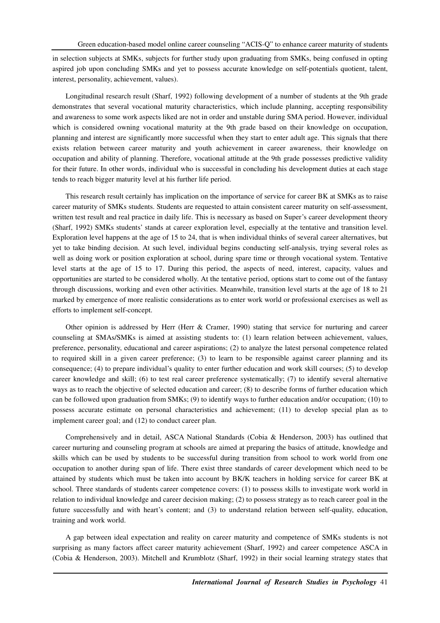in selection subjects at SMKs, subjects for further study upon graduating from SMKs, being confused in opting aspired job upon concluding SMKs and yet to possess accurate knowledge on self-potentials quotient, talent, interest, personality, achievement, values).

Longitudinal research result (Sharf, 1992) following development of a number of students at the 9th grade demonstrates that several vocational maturity characteristics, which include planning, accepting responsibility and awareness to some work aspects liked are not in order and unstable during SMA period. However, individual which is considered owning vocational maturity at the 9th grade based on their knowledge on occupation, planning and interest are significantly more successful when they start to enter adult age. This signals that there exists relation between career maturity and youth achievement in career awareness, their knowledge on occupation and ability of planning. Therefore, vocational attitude at the 9th grade possesses predictive validity for their future. In other words, individual who is successful in concluding his development duties at each stage tends to reach bigger maturity level at his further life period.

This research result certainly has implication on the importance of service for career BK at SMKs as to raise career maturity of SMKs students. Students are requested to attain consistent career maturity on self-assessment, written test result and real practice in daily life. This is necessary as based on Super's career development theory (Sharf, 1992) SMKs students' stands at career exploration level, especially at the tentative and transition level. Exploration level happens at the age of 15 to 24, that is when individual thinks of several career alternatives, but yet to take binding decision. At such level, individual begins conducting self-analysis, trying several roles as well as doing work or position exploration at school, during spare time or through vocational system. Tentative level starts at the age of 15 to 17. During this period, the aspects of need, interest, capacity, values and opportunities are started to be considered wholly. At the tentative period, options start to come out of the fantasy through discussions, working and even other activities. Meanwhile, transition level starts at the age of 18 to 21 marked by emergence of more realistic considerations as to enter work world or professional exercises as well as efforts to implement self-concept.

Other opinion is addressed by Herr (Herr & Cramer, 1990) stating that service for nurturing and career counseling at SMAs/SMKs is aimed at assisting students to: (1) learn relation between achievement, values, preference, personality, educational and career aspirations; (2) to analyze the latest personal competence related to required skill in a given career preference; (3) to learn to be responsible against career planning and its consequence; (4) to prepare individual's quality to enter further education and work skill courses; (5) to develop career knowledge and skill; (6) to test real career preference systematically; (7) to identify several alternative ways as to reach the objective of selected education and career; (8) to describe forms of further education which can be followed upon graduation from SMKs; (9) to identify ways to further education and/or occupation; (10) to possess accurate estimate on personal characteristics and achievement; (11) to develop special plan as to implement career goal; and (12) to conduct career plan.

Comprehensively and in detail, ASCA National Standards (Cobia & Henderson, 2003) has outlined that career nurturing and counseling program at schools are aimed at preparing the basics of attitude, knowledge and skills which can be used by students to be successful during transition from school to work world from one occupation to another during span of life. There exist three standards of career development which need to be attained by students which must be taken into account by BK/K teachers in holding service for career BK at school. Three standards of students career competence covers: (1) to possess skills to investigate work world in relation to individual knowledge and career decision making; (2) to possess strategy as to reach career goal in the future successfully and with heart's content; and (3) to understand relation between self-quality, education, training and work world.

A gap between ideal expectation and reality on career maturity and competence of SMKs students is not surprising as many factors affect career maturity achievement (Sharf, 1992) and career competence ASCA in (Cobia & Henderson, 2003). Mitchell and Krumblotz (Sharf, 1992) in their social learning strategy states that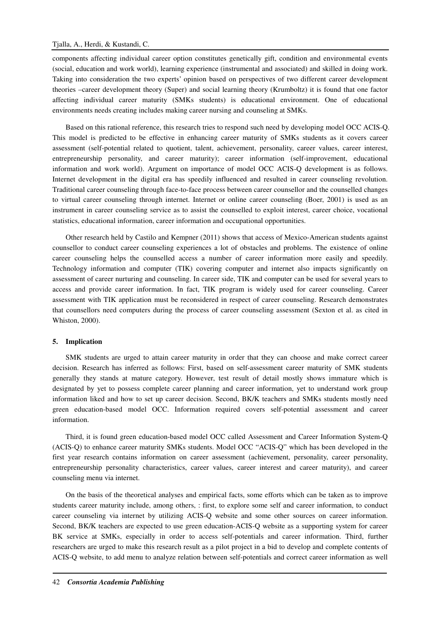components affecting individual career option constitutes genetically gift, condition and environmental events (social, education and work world), learning experience (instrumental and associated) and skilled in doing work. Taking into consideration the two experts' opinion based on perspectives of two different career development theories –career development theory (Super) and social learning theory (Krumboltz) it is found that one factor affecting individual career maturity (SMKs students) is educational environment. One of educational environments needs creating includes making career nursing and counseling at SMKs.

Based on this rational reference, this research tries to respond such need by developing model OCC ACIS-Q. This model is predicted to be effective in enhancing career maturity of SMKs students as it covers career assessment (self-potential related to quotient, talent, achievement, personality, career values, career interest, entrepreneurship personality, and career maturity); career information (self-improvement, educational information and work world). Argument on importance of model OCC ACIS-Q development is as follows. Internet development in the digital era has speedily influenced and resulted in career counseling revolution. Traditional career counseling through face-to-face process between career counsellor and the counselled changes to virtual career counseling through internet. Internet or online career counseling (Boer, 2001) is used as an instrument in career counseling service as to assist the counselled to exploit interest, career choice, vocational statistics, educational information, career information and occupational opportunities.

Other research held by Castilo and Kempner (2011) shows that access of Mexico-American students against counsellor to conduct career counseling experiences a lot of obstacles and problems. The existence of online career counseling helps the counselled access a number of career information more easily and speedily. Technology information and computer (TIK) covering computer and internet also impacts significantly on assessment of career nurturing and counseling. In career side, TIK and computer can be used for several years to access and provide career information. In fact, TIK program is widely used for career counseling. Career assessment with TIK application must be reconsidered in respect of career counseling. Research demonstrates that counsellors need computers during the process of career counseling assessment (Sexton et al. as cited in Whiston, 2000).

#### **5. Implication**

SMK students are urged to attain career maturity in order that they can choose and make correct career decision. Research has inferred as follows: First, based on self-assessment career maturity of SMK students generally they stands at mature category. However, test result of detail mostly shows immature which is designated by yet to possess complete career planning and career information, yet to understand work group information liked and how to set up career decision. Second, BK/K teachers and SMKs students mostly need green education-based model OCC. Information required covers self-potential assessment and career information.

Third, it is found green education-based model OCC called Assessment and Career Information System-Q (ACIS-Q) to enhance career maturity SMKs students. Model OCC "ACIS-Q" which has been developed in the first year research contains information on career assessment (achievement, personality, career personality, entrepreneurship personality characteristics, career values, career interest and career maturity), and career counseling menu via internet.

On the basis of the theoretical analyses and empirical facts, some efforts which can be taken as to improve students career maturity include, among others, : first, to explore some self and career information, to conduct career counseling via internet by utilizing ACIS-Q website and some other sources on career information. Second, BK/K teachers are expected to use green education-ACIS-Q website as a supporting system for career BK service at SMKs, especially in order to access self-potentials and career information. Third, further researchers are urged to make this research result as a pilot project in a bid to develop and complete contents of ACIS-Q website, to add menu to analyze relation between self-potentials and correct career information as well